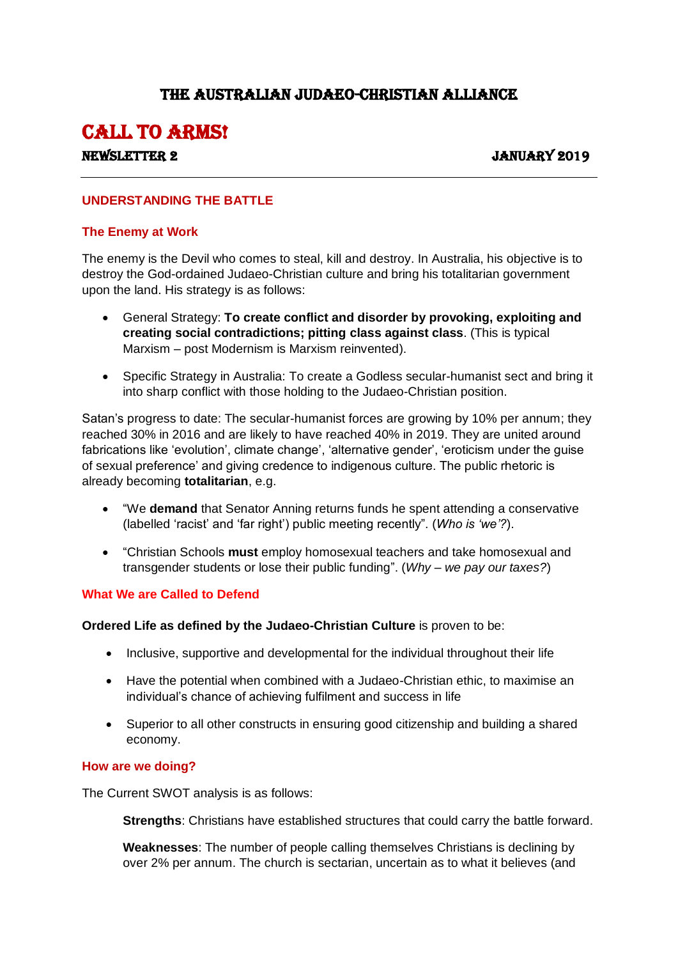## THE AUSTRALIAN JUDAEO-CHRISTIAN ALLIANCE

# CALL TO ARMS!

### Newsletter 2 January 2019

#### **UNDERSTANDING THE BATTLE**

#### **The Enemy at Work**

The enemy is the Devil who comes to steal, kill and destroy. In Australia, his objective is to destroy the God-ordained Judaeo-Christian culture and bring his totalitarian government upon the land. His strategy is as follows:

- General Strategy: **To create conflict and disorder by provoking, exploiting and creating social contradictions; pitting class against class**. (This is typical Marxism – post Modernism is Marxism reinvented).
- Specific Strategy in Australia: To create a Godless secular-humanist sect and bring it into sharp conflict with those holding to the Judaeo-Christian position.

Satan's progress to date: The secular-humanist forces are growing by 10% per annum; they reached 30% in 2016 and are likely to have reached 40% in 2019. They are united around fabrications like 'evolution', climate change', 'alternative gender', 'eroticism under the guise of sexual preference' and giving credence to indigenous culture. The public rhetoric is already becoming **totalitarian**, e.g.

- "We **demand** that Senator Anning returns funds he spent attending a conservative (labelled 'racist' and 'far right') public meeting recently". (*Who is 'we'?*).
- "Christian Schools **must** employ homosexual teachers and take homosexual and transgender students or lose their public funding". (*Why – we pay our taxes?*)

#### **What We are Called to Defend**

**Ordered Life as defined by the Judaeo-Christian Culture** is proven to be:

- Inclusive, supportive and developmental for the individual throughout their life
- Have the potential when combined with a Judaeo-Christian ethic, to maximise an individual's chance of achieving fulfilment and success in life
- Superior to all other constructs in ensuring good citizenship and building a shared economy.

#### **How are we doing?**

The Current SWOT analysis is as follows:

**Strengths**: Christians have established structures that could carry the battle forward.

**Weaknesses**: The number of people calling themselves Christians is declining by over 2% per annum. The church is sectarian, uncertain as to what it believes (and